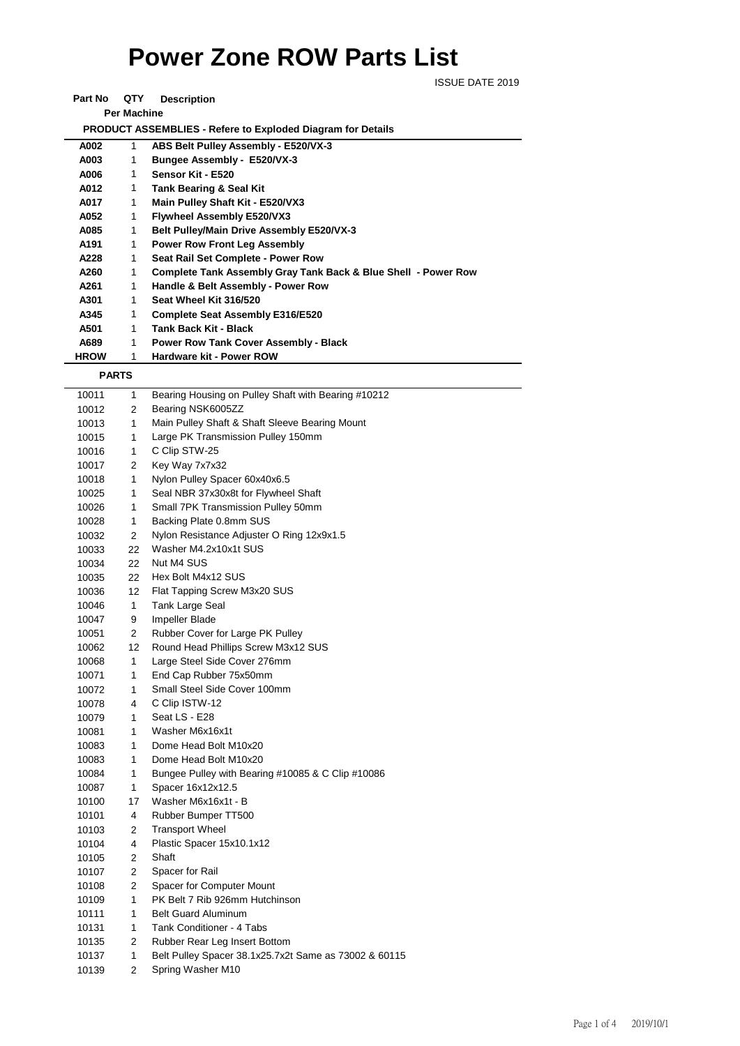## **Power Zone ROW Parts List**

ISSUE DATE 2019

**Part No QTY Description** 

**Per Machine**

 **PRODUCT ASSEMBLIES - Refere to Exploded Diagram for Details** 

| A002        | 1 | ABS Belt Pulley Assembly - E520/VX-3                                      |
|-------------|---|---------------------------------------------------------------------------|
| A003        | 1 | Bungee Assembly - E520/VX-3                                               |
| A006        | 1 | Sensor Kit - E520                                                         |
| A012        | 1 | <b>Tank Bearing &amp; Seal Kit</b>                                        |
| A017        | 1 | Main Pulley Shaft Kit - E520/VX3                                          |
| A052        | 1 | <b>Flywheel Assembly E520/VX3</b>                                         |
| A085        | 1 | Belt Pulley/Main Drive Assembly E520/VX-3                                 |
| A191        | 1 | <b>Power Row Front Leg Assembly</b>                                       |
| A228        | 1 | Seat Rail Set Complete - Power Row                                        |
| A260        | 1 | <b>Complete Tank Assembly Gray Tank Back &amp; Blue Shell - Power Row</b> |
| A261        | 1 | Handle & Belt Assembly - Power Row                                        |
| A301        | 1 | Seat Wheel Kit 316/520                                                    |
| A345        | 1 | Complete Seat Assembly E316/E520                                          |
| A501        | 1 | Tank Back Kit - Black                                                     |
| A689        | 1 | <b>Power Row Tank Cover Assembly - Black</b>                              |
| <b>HROW</b> | 1 | Hardware kit - Power ROW                                                  |

 **PARTS**

| <b>FARIJ</b> |              |                                                       |
|--------------|--------------|-------------------------------------------------------|
| 10011        | 1            | Bearing Housing on Pulley Shaft with Bearing #10212   |
| 10012        | 2            | Bearing NSK6005ZZ                                     |
| 10013        | $\mathbf{1}$ | Main Pulley Shaft & Shaft Sleeve Bearing Mount        |
| 10015        | $\mathbf{1}$ | Large PK Transmission Pulley 150mm                    |
| 10016        | 1            | C Clip STW-25                                         |
| 10017        | 2            | Key Way 7x7x32                                        |
| 10018        | $\mathbf{1}$ | Nylon Pulley Spacer 60x40x6.5                         |
| 10025        | $\mathbf{1}$ | Seal NBR 37x30x8t for Flywheel Shaft                  |
| 10026        | 1            | Small 7PK Transmission Pulley 50mm                    |
| 10028        | 1            | Backing Plate 0.8mm SUS                               |
| 10032        | 2            | Nylon Resistance Adjuster O Ring 12x9x1.5             |
| 10033        | 22           | Washer M4.2x10x1t SUS                                 |
| 10034        | 22           | Nut M4 SUS                                            |
| 10035        | 22           | Hex Bolt M4x12 SUS                                    |
| 10036        | 12           | Flat Tapping Screw M3x20 SUS                          |
| 10046        | 1            | Tank Large Seal                                       |
| 10047        | 9            | Impeller Blade                                        |
| 10051        | 2            | Rubber Cover for Large PK Pulley                      |
| 10062        | 12           | Round Head Phillips Screw M3x12 SUS                   |
| 10068        | 1            | Large Steel Side Cover 276mm                          |
| 10071        | 1            | End Cap Rubber 75x50mm                                |
| 10072        | 1            | Small Steel Side Cover 100mm                          |
| 10078        | 4            | C Clip ISTW-12                                        |
| 10079        | $\mathbf{1}$ | Seat LS - E28                                         |
| 10081        | 1            | Washer M6x16x1t                                       |
| 10083        | 1            | Dome Head Bolt M10x20                                 |
| 10083        | $\mathbf{1}$ | Dome Head Bolt M10x20                                 |
| 10084        | $\mathbf{1}$ | Bungee Pulley with Bearing #10085 & C Clip #10086     |
| 10087        | 1            | Spacer 16x12x12.5                                     |
| 10100        | 17           | Washer M6x16x1t - B                                   |
| 10101        | 4            | Rubber Bumper TT500                                   |
| 10103        | 2            | <b>Transport Wheel</b>                                |
| 10104        | 4            | Plastic Spacer 15x10.1x12                             |
| 10105        | 2            | Shaft                                                 |
| 10107        | 2            | Spacer for Rail                                       |
| 10108        | 2            | Spacer for Computer Mount                             |
| 10109        | 1            | PK Belt 7 Rib 926mm Hutchinson                        |
| 10111        | 1            | <b>Belt Guard Aluminum</b>                            |
| 10131        | 1            | Tank Conditioner - 4 Tabs                             |
| 10135        | 2            | Rubber Rear Leg Insert Bottom                         |
| 10137        | 1            | Belt Pulley Spacer 38.1x25.7x2t Same as 73002 & 60115 |
| 10139        | 2            | Spring Washer M10                                     |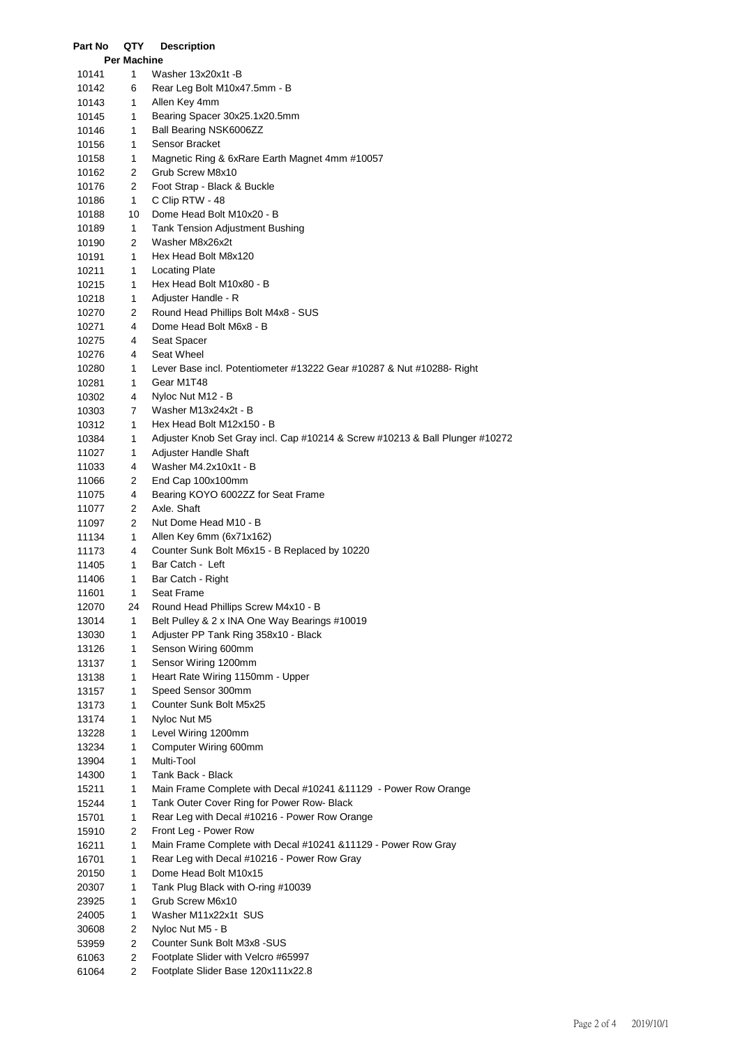| Part No        | QTY                | <b>Description</b>                                                                     |
|----------------|--------------------|----------------------------------------------------------------------------------------|
|                | <b>Per Machine</b> |                                                                                        |
| 10141          | 1                  | Washer 13x20x1t -B                                                                     |
| 10142          | 6                  | Rear Leg Bolt M10x47.5mm - B                                                           |
| 10143          | 1                  | Allen Key 4mm                                                                          |
| 10145          | 1                  | Bearing Spacer 30x25.1x20.5mm                                                          |
| 10146          | 1                  | Ball Bearing NSK6006ZZ                                                                 |
| 10156          | 1                  | Sensor Bracket                                                                         |
| 10158          | 1<br>2             | Magnetic Ring & 6xRare Earth Magnet 4mm #10057<br>Grub Screw M8x10                     |
| 10162<br>10176 | 2                  | Foot Strap - Black & Buckle                                                            |
| 10186          | 1                  | C Clip RTW - 48                                                                        |
| 10188          | 10                 | Dome Head Bolt M10x20 - B                                                              |
| 10189          | 1                  | <b>Tank Tension Adjustment Bushing</b>                                                 |
| 10190          | 2                  | Washer M8x26x2t                                                                        |
| 10191          | 1                  | Hex Head Bolt M8x120                                                                   |
| 10211          | 1                  | <b>Locating Plate</b>                                                                  |
| 10215          | 1                  | Hex Head Bolt M10x80 - B                                                               |
| 10218          | 1                  | Adjuster Handle - R                                                                    |
| 10270          | 2                  | Round Head Phillips Bolt M4x8 - SUS                                                    |
| 10271          | 4                  | Dome Head Bolt M6x8 - B                                                                |
| 10275          | 4                  | Seat Spacer                                                                            |
| 10276          | 4                  | Seat Wheel                                                                             |
| 10280          | 1                  | Lever Base incl. Potentiometer #13222 Gear #10287 & Nut #10288- Right                  |
| 10281          | 1                  | Gear M1T48                                                                             |
| 10302          | 4                  | Nyloc Nut M12 - B                                                                      |
| 10303          | 7                  | Washer M13x24x2t - B                                                                   |
| 10312          | 1                  | Hex Head Bolt M12x150 - B                                                              |
| 10384          | 1                  | Adjuster Knob Set Gray incl. Cap #10214 & Screw #10213 & Ball Plunger #10272           |
| 11027          | 1                  | Adjuster Handle Shaft                                                                  |
| 11033          | 4                  | Washer M4.2x10x1t - B                                                                  |
| 11066          | 2                  | End Cap 100x100mm                                                                      |
| 11075          | 4                  | Bearing KOYO 6002ZZ for Seat Frame                                                     |
| 11077          | 2                  | Axle. Shaft                                                                            |
| 11097          | 2                  | Nut Dome Head M10 - B<br>Allen Key 6mm (6x71x162)                                      |
| 11134          | 1<br>4             | Counter Sunk Bolt M6x15 - B Replaced by 10220                                          |
| 11173<br>11405 | 1                  | Bar Catch - Left                                                                       |
| 11406          | 1                  | Bar Catch - Right                                                                      |
| 11601          | 1.                 | Seat Frame                                                                             |
| 12070          | 24                 | Round Head Phillips Screw M4x10 - B                                                    |
| 13014          | 1                  | Belt Pulley & 2 x INA One Way Bearings #10019                                          |
| 13030          | 1                  | Adjuster PP Tank Ring 358x10 - Black                                                   |
| 13126          | 1                  | Senson Wiring 600mm                                                                    |
| 13137          | 1                  | Sensor Wiring 1200mm                                                                   |
| 13138          | 1                  | Heart Rate Wiring 1150mm - Upper                                                       |
| 13157          | 1                  | Speed Sensor 300mm                                                                     |
| 13173          | 1                  | Counter Sunk Bolt M5x25                                                                |
| 13174          | 1                  | Nyloc Nut M5                                                                           |
| 13228          | 1                  | Level Wiring 1200mm                                                                    |
| 13234          | 1                  | Computer Wiring 600mm                                                                  |
| 13904          | 1                  | Multi-Tool                                                                             |
| 14300          | 1                  | Tank Back - Black                                                                      |
| 15211          | 1                  | Main Frame Complete with Decal #10241 & 11129 - Power Row Orange                       |
| 15244          | 1                  | Tank Outer Cover Ring for Power Row- Black                                             |
| 15701          | 1                  | Rear Leg with Decal #10216 - Power Row Orange                                          |
| 15910<br>16211 | 2<br>1             | Front Leg - Power Row<br>Main Frame Complete with Decal #10241 &11129 - Power Row Gray |
| 16701          | 1                  | Rear Leg with Decal #10216 - Power Row Gray                                            |
| 20150          | 1                  | Dome Head Bolt M10x15                                                                  |
| 20307          | 1                  | Tank Plug Black with O-ring #10039                                                     |
| 23925          | 1                  | Grub Screw M6x10                                                                       |
| 24005          | 1                  | Washer M11x22x1t SUS                                                                   |
| 30608          | 2                  | Nyloc Nut M5 - B                                                                       |
| 53959          | 2                  | Counter Sunk Bolt M3x8 -SUS                                                            |
| 61063          | 2                  | Footplate Slider with Velcro #65997                                                    |
| 61064          | 2                  | Footplate Slider Base 120x111x22.8                                                     |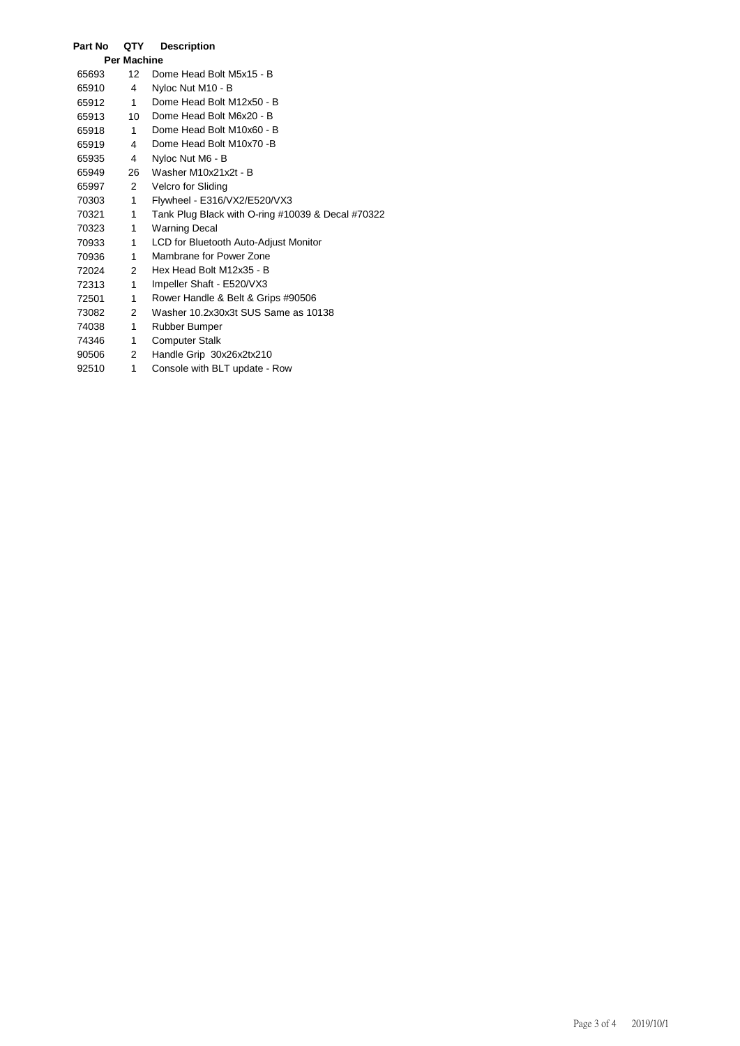| Part No            | QTY                  | <b>Description</b>                                |  |  |  |  |
|--------------------|----------------------|---------------------------------------------------|--|--|--|--|
| <b>Per Machine</b> |                      |                                                   |  |  |  |  |
| 65693              | 12                   | Dome Head Bolt M5x15 - B                          |  |  |  |  |
| 65910              | 4                    | Nyloc Nut M10 - B                                 |  |  |  |  |
| 65912              | 1                    | Dome Head Bolt M12x50 - B                         |  |  |  |  |
| 65913              | $10-10$              | Dome Head Bolt M6x20 - B                          |  |  |  |  |
| 65918              | 1                    | Dome Head Bolt M10x60 - B                         |  |  |  |  |
| 65919              | $\overline{4}$       | Dome Head Bolt M10x70 -B                          |  |  |  |  |
| 65935              | $\overline{4}$       | Nyloc Nut M6 - B                                  |  |  |  |  |
| 65949              | 26                   | Washer M10x21x2t - B                              |  |  |  |  |
| 65997              | $\mathbf{2}^{\circ}$ | Velcro for Sliding                                |  |  |  |  |
| 70303              | 1                    | Flywheel - E316/VX2/E520/VX3                      |  |  |  |  |
| 70321              | 1                    | Tank Plug Black with O-ring #10039 & Decal #70322 |  |  |  |  |
| 70323              | 1                    | <b>Warning Decal</b>                              |  |  |  |  |
| 70933              | 1                    | LCD for Bluetooth Auto-Adjust Monitor             |  |  |  |  |
| 70936              | 1                    | Mambrane for Power Zone                           |  |  |  |  |
| 72024              | $\overline{2}$       | Hex Head Bolt M12x35 - B                          |  |  |  |  |
| 72313              | $\mathbf{1}$         | Impeller Shaft - E520/VX3                         |  |  |  |  |
| 72501              | 1                    | Rower Handle & Belt & Grips #90506                |  |  |  |  |
| 73082              | $\mathbf{2}$         | Washer 10.2x30x3t SUS Same as 10138               |  |  |  |  |
| 74038              | 1                    | Rubber Bumper                                     |  |  |  |  |
| 74346              | 1                    | <b>Computer Stalk</b>                             |  |  |  |  |
| 90506              | 2                    | Handle Grip 30x26x2tx210                          |  |  |  |  |
| 92510              | 1                    | Console with BLT update - Row                     |  |  |  |  |